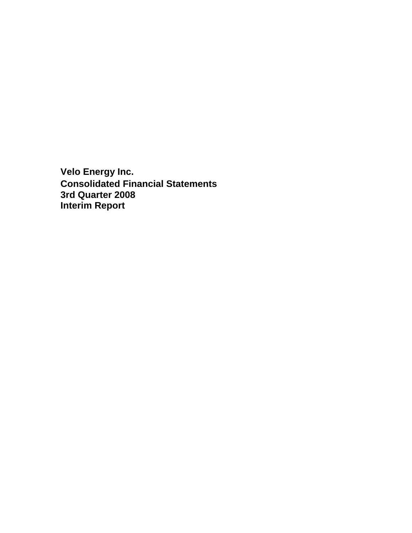**Velo Energy Inc. Consolidated Financial Statements 3rd Quarter 2008 Interim Report**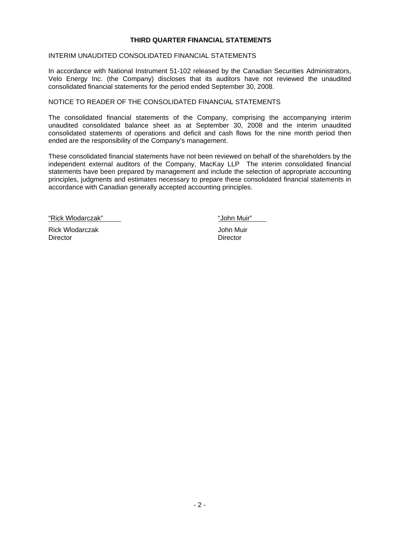#### **THIRD QUARTER FINANCIAL STATEMENTS**

#### INTERIM UNAUDITED CONSOLIDATED FINANCIAL STATEMENTS

In accordance with National Instrument 51-102 released by the Canadian Securities Administrators, Velo Energy Inc. (the Company) discloses that its auditors have not reviewed the unaudited consolidated financial statements for the period ended September 30, 2008.

### NOTICE TO READER OF THE CONSOLIDATED FINANCIAL STATEMENTS

The consolidated financial statements of the Company, comprising the accompanying interim unaudited consolidated balance sheet as at September 30, 2008 and the interim unaudited consolidated statements of operations and deficit and cash flows for the nine month period then ended are the responsibility of the Company's management.

These consolidated financial statements have not been reviewed on behalf of the shareholders by the independent external auditors of the Company, MacKay LLP The interim consolidated financial statements have been prepared by management and include the selection of appropriate accounting principles, judgments and estimates necessary to prepare these consolidated financial statements in accordance with Canadian generally accepted accounting principles.

"Rick Wlodarczak" "John Muir"

Rick Wlodarczak John Muir Director **Director** Director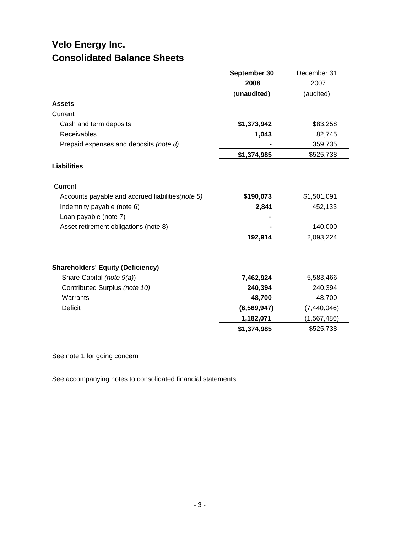# **Velo Energy Inc. Consolidated Balance Sheets**

|                                                   | September 30 | December 31   |
|---------------------------------------------------|--------------|---------------|
|                                                   | 2008         | 2007          |
|                                                   | (unaudited)  | (audited)     |
| <b>Assets</b>                                     |              |               |
| Current                                           |              |               |
| Cash and term deposits                            | \$1,373,942  | \$83,258      |
| Receivables                                       | 1,043        | 82,745        |
| Prepaid expenses and deposits (note 8)            |              | 359,735       |
|                                                   | \$1,374,985  | \$525,738     |
| <b>Liabilities</b>                                |              |               |
| Current                                           |              |               |
| Accounts payable and accrued liabilities (note 5) | \$190,073    | \$1,501,091   |
| Indemnity payable (note 6)                        | 2,841        | 452,133       |
| Loan payable (note 7)                             |              |               |
| Asset retirement obligations (note 8)             |              | 140,000       |
|                                                   | 192,914      | 2,093,224     |
| <b>Shareholders' Equity (Deficiency)</b>          |              |               |
| Share Capital (note 9(a))                         | 7,462,924    | 5,583,466     |
| Contributed Surplus (note 10)                     | 240,394      | 240,394       |
| Warrants                                          | 48,700       | 48,700        |
| <b>Deficit</b>                                    | (6,569,947)  | (7, 440, 046) |
|                                                   | 1,182,071    | (1,567,486)   |
|                                                   | \$1,374,985  | \$525,738     |

See note 1 for going concern

See accompanying notes to consolidated financial statements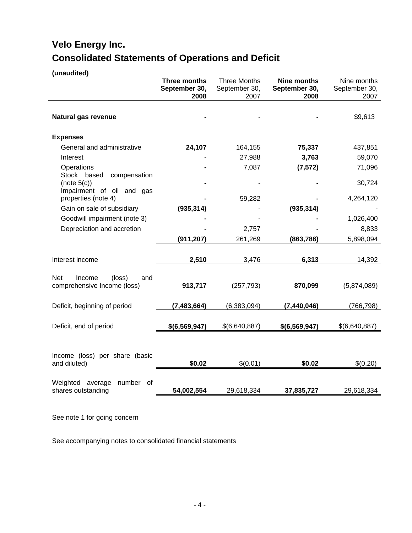# **Velo Energy Inc. Consolidated Statements of Operations and Deficit**

**(unaudited)**

|                                                                      | Three months<br>September 30,<br>2008 | <b>Three Months</b><br>September 30,<br>2007 | Nine months<br>September 30,<br>2008 | Nine months<br>September 30,<br>2007 |
|----------------------------------------------------------------------|---------------------------------------|----------------------------------------------|--------------------------------------|--------------------------------------|
| Natural gas revenue                                                  |                                       |                                              |                                      | \$9,613                              |
| <b>Expenses</b>                                                      |                                       |                                              |                                      |                                      |
| General and administrative                                           | 24,107                                | 164,155                                      | 75,337                               | 437,851                              |
| Interest                                                             |                                       | 27,988                                       | 3,763                                | 59,070                               |
| Operations                                                           |                                       | 7,087                                        | (7, 572)                             | 71,096                               |
| Stock based<br>compensation<br>(note 5(c))                           |                                       |                                              |                                      | 30,724                               |
| Impairment of oil and gas                                            |                                       |                                              |                                      |                                      |
| properties (note 4)                                                  |                                       | 59,282                                       |                                      | 4,264,120                            |
| Gain on sale of subsidiary                                           | (935, 314)                            |                                              | (935, 314)                           |                                      |
| Goodwill impairment (note 3)                                         |                                       |                                              |                                      | 1,026,400                            |
| Depreciation and accretion                                           |                                       | 2,757                                        |                                      | 8,833                                |
|                                                                      | (911, 207)                            | 261,269                                      | (863, 786)                           | 5,898,094                            |
| Interest income                                                      | 2,510                                 | 3,476                                        | 6,313                                | 14,392                               |
| <b>Net</b><br>Income<br>(loss)<br>and<br>comprehensive Income (loss) | 913,717                               | (257, 793)                                   | 870,099                              | (5,874,089)                          |
| Deficit, beginning of period                                         | (7, 483, 664)                         | (6, 383, 094)                                | (7, 440, 046)                        | (766, 798)                           |
| Deficit, end of period                                               | \$(6,569,947)                         | \$(6,640,887)                                | \$(6,569,947)                        | \$(6,640,887)                        |
| Income (loss) per share (basic<br>and diluted)                       | \$0.02                                | \$(0.01)                                     | \$0.02                               | \$(0.20)                             |
|                                                                      |                                       |                                              |                                      |                                      |
| Weighted average<br>number of<br>shares outstanding                  | 54,002,554                            | 29,618,334                                   | 37,835,727                           | 29,618,334                           |

See note 1 for going concern

See accompanying notes to consolidated financial statements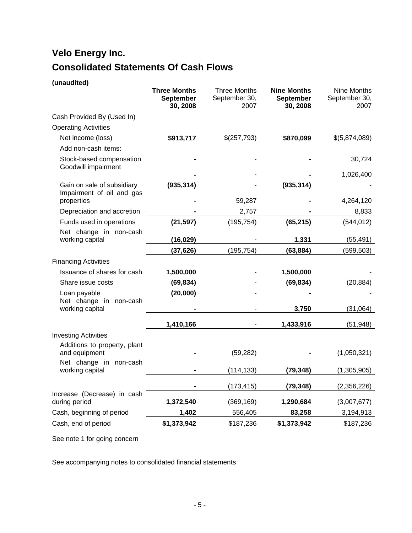# **Velo Energy Inc. Consolidated Statements Of Cash Flows**

# **(unaudited)**

|                                                         | <b>Three Months</b><br><b>September</b><br>30, 2008 | <b>Three Months</b><br>September 30,<br>2007 | <b>Nine Months</b><br><b>September</b><br>30, 2008 | Nine Months<br>September 30,<br>2007 |
|---------------------------------------------------------|-----------------------------------------------------|----------------------------------------------|----------------------------------------------------|--------------------------------------|
| Cash Provided By (Used In)                              |                                                     |                                              |                                                    |                                      |
| <b>Operating Activities</b>                             |                                                     |                                              |                                                    |                                      |
| Net income (loss)                                       | \$913,717                                           | \$(257,793)                                  | \$870,099                                          | \$(5,874,089)                        |
| Add non-cash items:                                     |                                                     |                                              |                                                    |                                      |
| Stock-based compensation<br>Goodwill impairment         |                                                     |                                              |                                                    | 30,724                               |
|                                                         |                                                     |                                              |                                                    | 1,026,400                            |
| Gain on sale of subsidiary<br>Impairment of oil and gas | (935, 314)                                          |                                              | (935, 314)                                         |                                      |
| properties                                              |                                                     | 59,287                                       |                                                    | 4,264,120                            |
| Depreciation and accretion                              |                                                     | 2,757                                        |                                                    | 8,833                                |
| Funds used in operations                                | (21, 597)                                           | (195, 754)                                   | (65, 215)                                          | (544, 012)                           |
| Net change in non-cash<br>working capital               | (16, 029)                                           |                                              | 1,331                                              | (55, 491)                            |
|                                                         | (37, 626)                                           | (195, 754)                                   | (63, 884)                                          | (599, 503)                           |
| <b>Financing Activities</b>                             |                                                     |                                              |                                                    |                                      |
| Issuance of shares for cash                             | 1,500,000                                           |                                              | 1,500,000                                          |                                      |
| Share issue costs                                       | (69, 834)                                           |                                              | (69, 834)                                          | (20, 884)                            |
| Loan payable                                            | (20,000)                                            |                                              |                                                    |                                      |
| Net change in non-cash<br>working capital               |                                                     |                                              | 3,750                                              | (31,064)                             |
|                                                         | 1,410,166                                           |                                              | 1,433,916                                          | (51, 948)                            |
| <b>Investing Activities</b>                             |                                                     |                                              |                                                    |                                      |
| Additions to property, plant<br>and equipment           |                                                     | (59, 282)                                    |                                                    | (1,050,321)                          |
| Net change in non-cash<br>working capital               |                                                     | (114, 133)                                   | (79, 348)                                          | (1,305,905)                          |
|                                                         |                                                     | (173, 415)                                   | (79, 348)                                          | (2,356,226)                          |
| Increase (Decrease) in cash<br>during period            | 1,372,540                                           | (369, 169)                                   | 1,290,684                                          | (3,007,677)                          |
| Cash, beginning of period                               | 1,402                                               | 556,405                                      | 83,258                                             | 3,194,913                            |
| Cash, end of period                                     | \$1,373,942                                         | \$187,236                                    | \$1,373,942                                        | \$187,236                            |

See note 1 for going concern

See accompanying notes to consolidated financial statements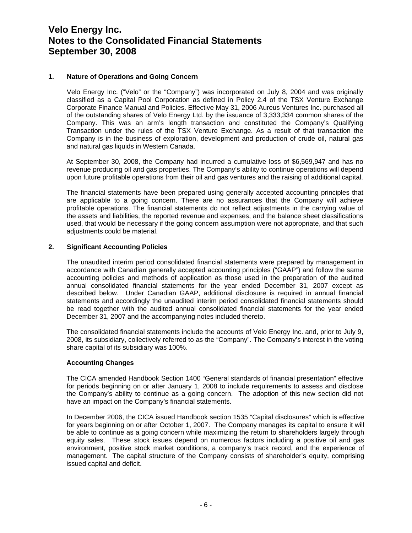# **1. Nature of Operations and Going Concern**

 Velo Energy Inc. ("Velo" or the "Company") was incorporated on July 8, 2004 and was originally classified as a Capital Pool Corporation as defined in Policy 2.4 of the TSX Venture Exchange Corporate Finance Manual and Policies. Effective May 31, 2006 Aureus Ventures Inc. purchased all of the outstanding shares of Velo Energy Ltd. by the issuance of 3,333,334 common shares of the Company. This was an arm's length transaction and constituted the Company's Qualifying Transaction under the rules of the TSX Venture Exchange. As a result of that transaction the Company is in the business of exploration, development and production of crude oil, natural gas and natural gas liquids in Western Canada.

At September 30, 2008, the Company had incurred a cumulative loss of \$6,569,947 and has no revenue producing oil and gas properties. The Company's ability to continue operations will depend upon future profitable operations from their oil and gas ventures and the raising of additional capital.

The financial statements have been prepared using generally accepted accounting principles that are applicable to a going concern. There are no assurances that the Company will achieve profitable operations. The financial statements do not reflect adjustments in the carrying value of the assets and liabilities, the reported revenue and expenses, and the balance sheet classifications used, that would be necessary if the going concern assumption were not appropriate, and that such adjustments could be material.

# **2. Significant Accounting Policies**

The unaudited interim period consolidated financial statements were prepared by management in accordance with Canadian generally accepted accounting principles ("GAAP") and follow the same accounting policies and methods of application as those used in the preparation of the audited annual consolidated financial statements for the year ended December 31, 2007 except as described below. Under Canadian GAAP, additional disclosure is required in annual financial statements and accordingly the unaudited interim period consolidated financial statements should be read together with the audited annual consolidated financial statements for the year ended December 31, 2007 and the accompanying notes included thereto.

The consolidated financial statements include the accounts of Velo Energy Inc. and, prior to July 9, 2008, its subsidiary, collectively referred to as the "Company". The Company's interest in the voting share capital of its subsidiary was 100%.

# **Accounting Changes**

The CICA amended Handbook Section 1400 "General standards of financial presentation" effective for periods beginning on or after January 1, 2008 to include requirements to assess and disclose the Company's ability to continue as a going concern. The adoption of this new section did not have an impact on the Company's financial statements.

In December 2006, the CICA issued Handbook section 1535 "Capital disclosures" which is effective for years beginning on or after October 1, 2007. The Company manages its capital to ensure it will be able to continue as a going concern while maximizing the return to shareholders largely through equity sales. These stock issues depend on numerous factors including a positive oil and gas environment, positive stock market conditions, a company's track record, and the experience of management. The capital structure of the Company consists of shareholder's equity, comprising issued capital and deficit.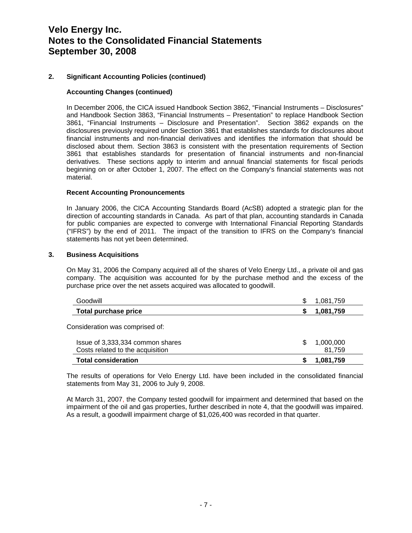# **2. Significant Accounting Policies (continued)**

# **Accounting Changes (continued)**

In December 2006, the CICA issued Handbook Section 3862, "Financial Instruments – Disclosures" and Handbook Section 3863, "Financial Instruments – Presentation" to replace Handbook Section 3861, "Financial Instruments – Disclosure and Presentation". Section 3862 expands on the disclosures previously required under Section 3861 that establishes standards for disclosures about financial instruments and non-financial derivatives and identifies the information that should be disclosed about them. Section 3863 is consistent with the presentation requirements of Section 3861 that establishes standards for presentation of financial instruments and non-financial derivatives. These sections apply to interim and annual financial statements for fiscal periods beginning on or after October 1, 2007. The effect on the Company's financial statements was not material.

# **Recent Accounting Pronouncements**

In January 2006, the CICA Accounting Standards Board (AcSB) adopted a strategic plan for the direction of accounting standards in Canada. As part of that plan, accounting standards in Canada for public companies are expected to converge with International Financial Reporting Standards ("IFRS") by the end of 2011. The impact of the transition to IFRS on the Company's financial statements has not yet been determined.

#### **3. Business Acquisitions**

On May 31, 2006 the Company acquired all of the shares of Velo Energy Ltd., a private oil and gas company. The acquisition was accounted for by the purchase method and the excess of the purchase price over the net assets acquired was allocated to goodwill.

| Goodwill                         | \$ | 1,081,759 |
|----------------------------------|----|-----------|
| <b>Total purchase price</b>      | S  | 1,081,759 |
| Consideration was comprised of:  |    |           |
| Issue of 3,333,334 common shares | S  | 1,000,000 |
| Costs related to the acquisition |    | 81,759    |
| <b>Total consideration</b>       |    | 1,081,759 |

The results of operations for Velo Energy Ltd. have been included in the consolidated financial statements from May 31, 2006 to July 9, 2008.

At March 31, 2007, the Company tested goodwill for impairment and determined that based on the impairment of the oil and gas properties, further described in note 4, that the goodwill was impaired. As a result, a goodwill impairment charge of \$1,026,400 was recorded in that quarter.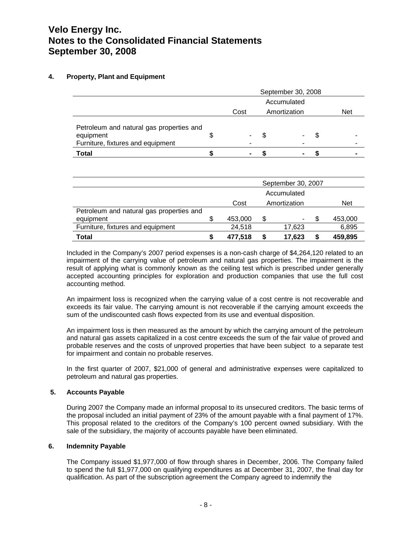# **4. Property, Plant and Equipment**

|                                                                                            | September 30, 2008   |  |  |            |  |
|--------------------------------------------------------------------------------------------|----------------------|--|--|------------|--|
|                                                                                            | Accumulated          |  |  |            |  |
|                                                                                            | Cost<br>Amortization |  |  | <b>Net</b> |  |
| Petroleum and natural gas properties and<br>equipment<br>Furniture, fixtures and equipment | ۰                    |  |  | \$.        |  |
| <b>Total</b>                                                                               | $\blacksquare$       |  |  |            |  |

|                                          | September 30, 2007   |    |        |            |         |
|------------------------------------------|----------------------|----|--------|------------|---------|
|                                          | Accumulated          |    |        |            |         |
|                                          | Cost<br>Amortization |    |        | <b>Net</b> |         |
| Petroleum and natural gas properties and |                      |    |        |            |         |
| equipment                                | 453,000              | \$ | ۰      | \$.        | 453,000 |
| Furniture, fixtures and equipment        | 24,518               |    | 17,623 |            | 6,895   |
| <b>Total</b>                             | 477,518              |    | 17.623 |            | 459,895 |

 Included in the Company's 2007 period expenses is a non-cash charge of \$4,264,120 related to an impairment of the carrying value of petroleum and natural gas properties. The impairment is the result of applying what is commonly known as the ceiling test which is prescribed under generally accepted accounting principles for exploration and production companies that use the full cost accounting method.

An impairment loss is recognized when the carrying value of a cost centre is not recoverable and exceeds its fair value. The carrying amount is not recoverable if the carrying amount exceeds the sum of the undiscounted cash flows expected from its use and eventual disposition.

An impairment loss is then measured as the amount by which the carrying amount of the petroleum and natural gas assets capitalized in a cost centre exceeds the sum of the fair value of proved and probable reserves and the costs of unproved properties that have been subject to a separate test for impairment and contain no probable reserves.

In the first quarter of 2007, \$21,000 of general and administrative expenses were capitalized to petroleum and natural gas properties.

# **5. Accounts Payable**

During 2007 the Company made an informal proposal to its unsecured creditors. The basic terms of the proposal included an initial payment of 23% of the amount payable with a final payment of 17%. This proposal related to the creditors of the Company's 100 percent owned subsidiary. With the sale of the subsidiary, the majority of accounts payable have been eliminated.

#### **6. Indemnity Payable**

The Company issued \$1,977,000 of flow through shares in December, 2006. The Company failed to spend the full \$1,977,000 on qualifying expenditures as at December 31, 2007, the final day for qualification. As part of the subscription agreement the Company agreed to indemnify the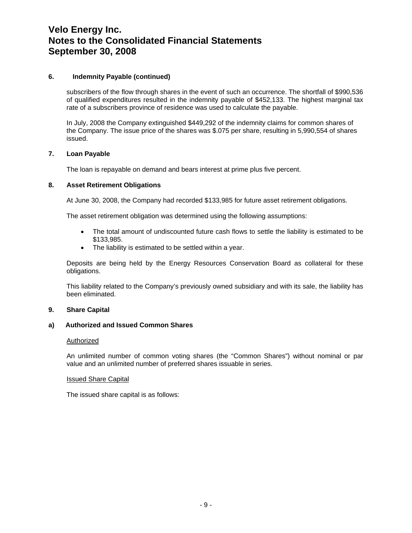# **6. Indemnity Payable (continued)**

subscribers of the flow through shares in the event of such an occurrence. The shortfall of \$990,536 of qualified expenditures resulted in the indemnity payable of \$452,133. The highest marginal tax rate of a subscribers province of residence was used to calculate the payable.

In July, 2008 the Company extinguished \$449,292 of the indemnity claims for common shares of the Company. The issue price of the shares was \$.075 per share, resulting in 5,990,554 of shares issued.

# **7. Loan Payable**

The loan is repayable on demand and bears interest at prime plus five percent.

#### **8. Asset Retirement Obligations**

At June 30, 2008, the Company had recorded \$133,985 for future asset retirement obligations.

The asset retirement obligation was determined using the following assumptions:

- The total amount of undiscounted future cash flows to settle the liability is estimated to be \$133,985.
- The liability is estimated to be settled within a year.

Deposits are being held by the Energy Resources Conservation Board as collateral for these obligations.

This liability related to the Company's previously owned subsidiary and with its sale, the liability has been eliminated.

#### **9. Share Capital**

#### **a) Authorized and Issued Common Shares**

#### Authorized

An unlimited number of common voting shares (the "Common Shares") without nominal or par value and an unlimited number of preferred shares issuable in series.

#### Issued Share Capital

The issued share capital is as follows: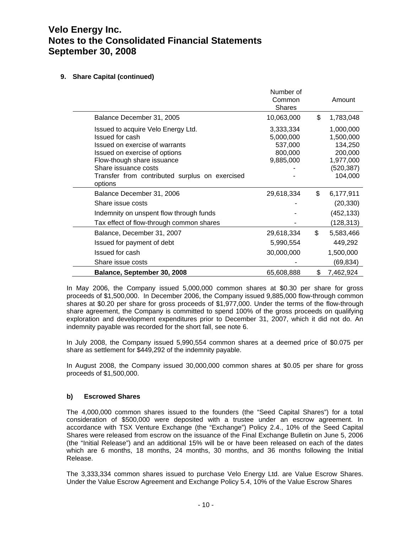# **9. Share Capital (continued)**

|                                                                                                                                                                                                                                             | Number of<br>Common<br><b>Shares</b>                      | Amount                                                                            |
|---------------------------------------------------------------------------------------------------------------------------------------------------------------------------------------------------------------------------------------------|-----------------------------------------------------------|-----------------------------------------------------------------------------------|
| Balance December 31, 2005                                                                                                                                                                                                                   | 10,063,000                                                | \$<br>1,783,048                                                                   |
| Issued to acquire Velo Energy Ltd.<br>Issued for cash<br>Issued on exercise of warrants<br>Issued on exercise of options<br>Flow-though share issuance<br>Share issuance costs<br>Transfer from contributed surplus on exercised<br>options | 3,333,334<br>5,000,000<br>537,000<br>800,000<br>9,885,000 | 1,000,000<br>1,500,000<br>134,250<br>200,000<br>1,977,000<br>(520,387)<br>104,000 |
| Balance December 31, 2006                                                                                                                                                                                                                   | 29,618,334                                                | \$<br>6,177,911                                                                   |
| Share issue costs                                                                                                                                                                                                                           |                                                           | (20, 330)                                                                         |
| Indemnity on unspent flow through funds                                                                                                                                                                                                     |                                                           | (452, 133)                                                                        |
| Tax effect of flow-through common shares                                                                                                                                                                                                    |                                                           | (128, 313)                                                                        |
| Balance, December 31, 2007                                                                                                                                                                                                                  | 29,618,334                                                | \$<br>5,583,466                                                                   |
| Issued for payment of debt                                                                                                                                                                                                                  | 5,990,554                                                 | 449,292                                                                           |
| Issued for cash                                                                                                                                                                                                                             | 30,000,000                                                | 1,500,000                                                                         |
| Share issue costs                                                                                                                                                                                                                           |                                                           | (69,834)                                                                          |
| Balance, September 30, 2008                                                                                                                                                                                                                 | 65,608,888                                                | \$<br>7,462,924                                                                   |

In May 2006, the Company issued 5,000,000 common shares at \$0.30 per share for gross proceeds of \$1,500,000. In December 2006, the Company issued 9,885,000 flow-through common shares at \$0.20 per share for gross proceeds of \$1,977,000. Under the terms of the flow-through share agreement, the Company is committed to spend 100% of the gross proceeds on qualifying exploration and development expenditures prior to December 31, 2007, which it did not do. An indemnity payable was recorded for the short fall, see note 6.

In July 2008, the Company issued 5,990,554 common shares at a deemed price of \$0.075 per share as settlement for \$449,292 of the indemnity payable.

In August 2008, the Company issued 30,000,000 common shares at \$0.05 per share for gross proceeds of \$1,500,000.

# **b) Escrowed Shares**

The 4,000,000 common shares issued to the founders (the "Seed Capital Shares") for a total consideration of \$500,000 were deposited with a trustee under an escrow agreement. In accordance with TSX Venture Exchange (the "Exchange") Policy 2.4., 10% of the Seed Capital Shares were released from escrow on the issuance of the Final Exchange Bulletin on June 5, 2006 (the "Initial Release") and an additional 15% will be or have been released on each of the dates which are 6 months, 18 months, 24 months, 30 months, and 36 months following the Initial Release.

The 3,333,334 common shares issued to purchase Velo Energy Ltd. are Value Escrow Shares. Under the Value Escrow Agreement and Exchange Policy 5.4, 10% of the Value Escrow Shares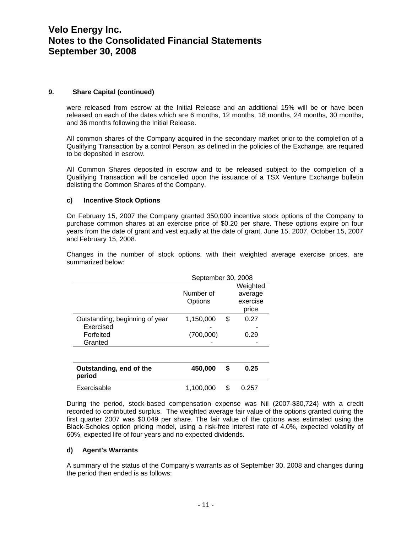### **9. Share Capital (continued)**

were released from escrow at the Initial Release and an additional 15% will be or have been released on each of the dates which are 6 months, 12 months, 18 months, 24 months, 30 months, and 36 months following the Initial Release.

All common shares of the Company acquired in the secondary market prior to the completion of a Qualifying Transaction by a control Person, as defined in the policies of the Exchange, are required to be deposited in escrow.

All Common Shares deposited in escrow and to be released subject to the completion of a Qualifying Transaction will be cancelled upon the issuance of a TSX Venture Exchange bulletin delisting the Common Shares of the Company.

#### **c) Incentive Stock Options**

On February 15, 2007 the Company granted 350,000 incentive stock options of the Company to purchase common shares at an exercise price of \$0.20 per share. These options expire on four years from the date of grant and vest equally at the date of grant, June 15, 2007, October 15, 2007 and February 15, 2008.

Changes in the number of stock options, with their weighted average exercise prices, are summarized below:

|                                                                     | September 30, 2008     |    |                                          |  |
|---------------------------------------------------------------------|------------------------|----|------------------------------------------|--|
|                                                                     | Number of<br>Options   |    | Weighted<br>average<br>exercise<br>price |  |
| Outstanding, beginning of year<br>Exercised<br>Forfeited<br>Granted | 1,150,000<br>(700,000) | \$ | 0.27<br>0.29                             |  |
|                                                                     |                        |    |                                          |  |
| Outstanding, end of the<br>period                                   | 450,000                | S  | 0.25                                     |  |
| Exercisable                                                         | 1,100,000              | S. | 0.257                                    |  |

During the period, stock-based compensation expense was Nil (2007-\$30,724) with a credit recorded to contributed surplus. The weighted average fair value of the options granted during the first quarter 2007 was \$0.049 per share. The fair value of the options was estimated using the Black-Scholes option pricing model, using a risk-free interest rate of 4.0%, expected volatility of 60%, expected life of four years and no expected dividends.

#### **d) Agent's Warrants**

A summary of the status of the Company's warrants as of September 30, 2008 and changes during the period then ended is as follows: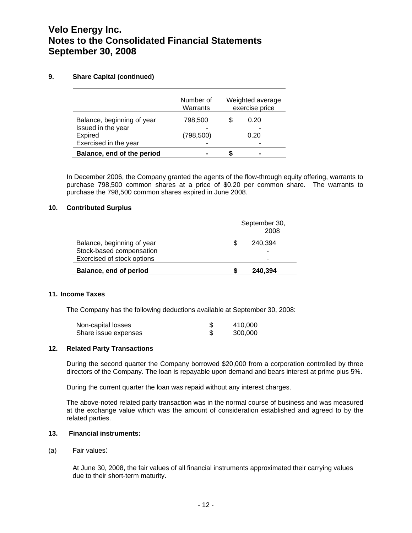# **9. Share Capital (continued)**

|                                                                                      | Number of<br>Warrants | Weighted average<br>exercise price |              |  |
|--------------------------------------------------------------------------------------|-----------------------|------------------------------------|--------------|--|
| Balance, beginning of year<br>Issued in the year<br>Expired<br>Exercised in the year | 798,500<br>(798, 500) |                                    | 0.20<br>0.20 |  |
| Balance, end of the period                                                           | ۰                     |                                    |              |  |

In December 2006, the Company granted the agents of the flow-through equity offering, warrants to purchase 798,500 common shares at a price of \$0.20 per common share. The warrants to purchase the 798,500 common shares expired in June 2008.

# **10. Contributed Surplus**

|                                                                                      |   | September 30,<br>2008                    |
|--------------------------------------------------------------------------------------|---|------------------------------------------|
| Balance, beginning of year<br>Stock-based compensation<br>Exercised of stock options | S | 240.394<br>-<br>$\overline{\phantom{0}}$ |
| Balance, end of period                                                               |   | 240.394                                  |

#### **11. Income Taxes**

The Company has the following deductions available at September 30, 2008:

| Non-capital losses   | 410,000 |
|----------------------|---------|
| Share issue expenses | 300,000 |

# **12. Related Party Transactions**

During the second quarter the Company borrowed \$20,000 from a corporation controlled by three directors of the Company. The loan is repayable upon demand and bears interest at prime plus 5%.

During the current quarter the loan was repaid without any interest charges.

The above-noted related party transaction was in the normal course of business and was measured at the exchange value which was the amount of consideration established and agreed to by the related parties.

### **13. Financial instruments:**

(a) Fair values:

At June 30, 2008, the fair values of all financial instruments approximated their carrying values due to their short-term maturity.